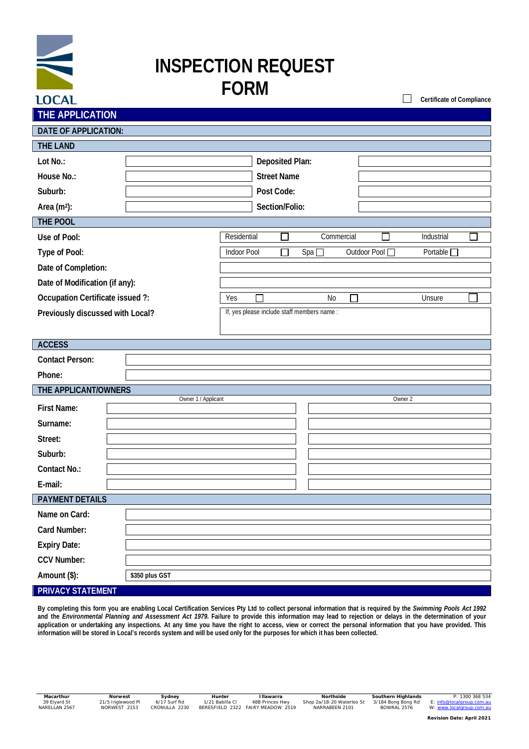# **INSPECTION REQUEST FORM**

| THE APPLICATION                  |                     |                                             |                    |                 |            |                                    |         |            |  |
|----------------------------------|---------------------|---------------------------------------------|--------------------|-----------------|------------|------------------------------------|---------|------------|--|
| DATE OF APPLICATION:             |                     |                                             |                    |                 |            |                                    |         |            |  |
| THE LAND                         |                     |                                             |                    |                 |            |                                    |         |            |  |
| Lot No.:                         |                     |                                             |                    | Deposited Plan: |            |                                    |         |            |  |
| House No.:                       |                     |                                             | <b>Street Name</b> |                 |            |                                    |         |            |  |
| Suburb:                          |                     |                                             | Post Code:         |                 |            |                                    |         |            |  |
| Area (m <sup>2</sup> ):          |                     |                                             | Section/Folio:     |                 |            |                                    |         |            |  |
| THE POOL                         |                     |                                             |                    |                 |            |                                    |         |            |  |
| Use of Pool:                     |                     | Residential                                 |                    |                 | Commercial |                                    |         | Industrial |  |
| Type of Pool:                    | Indoor Pool         |                                             | Spa                |                 |            | Outdoor Pool<br>Portable $\square$ |         |            |  |
| Date of Completion:              |                     |                                             |                    |                 |            |                                    |         |            |  |
| Date of Modification (if any):   |                     |                                             |                    |                 |            |                                    |         |            |  |
| Occupation Certificate issued ?: |                     | Yes                                         |                    |                 | No         |                                    |         | Unsure     |  |
| Previously discussed with Local? |                     | If, yes please include staff members name : |                    |                 |            |                                    |         |            |  |
|                                  |                     |                                             |                    |                 |            |                                    |         |            |  |
| <b>ACCESS</b>                    |                     |                                             |                    |                 |            |                                    |         |            |  |
| Contact Person:                  |                     |                                             |                    |                 |            |                                    |         |            |  |
| Phone:                           |                     |                                             |                    |                 |            |                                    |         |            |  |
| THE APPLICANT/OWNERS             |                     |                                             |                    |                 |            |                                    |         |            |  |
| First Name:                      | Owner 1 / Applicant |                                             |                    |                 |            |                                    | Owner 2 |            |  |
| Surname:                         |                     |                                             |                    |                 |            |                                    |         |            |  |
| Street:                          |                     |                                             |                    |                 |            |                                    |         |            |  |
| Suburb:                          |                     |                                             |                    |                 |            |                                    |         |            |  |
| Contact No.:                     |                     |                                             |                    |                 |            |                                    |         |            |  |
| E-mail:                          |                     |                                             |                    |                 |            |                                    |         |            |  |
| <b>PAYMENT DETAILS</b>           |                     |                                             |                    |                 |            |                                    |         |            |  |
| Name on Card:                    |                     |                                             |                    |                 |            |                                    |         |            |  |
| Card Number:                     |                     |                                             |                    |                 |            |                                    |         |            |  |
| Expiry Date:                     |                     |                                             |                    |                 |            |                                    |         |            |  |
| CCV Number:                      |                     |                                             |                    |                 |            |                                    |         |            |  |
| Amount (\$):                     | \$350 plus GST      |                                             |                    |                 |            |                                    |         |            |  |
| PRIVACY STATEMENT                |                     |                                             |                    |                 |            |                                    |         |            |  |

**By completing this form you are enabling Local Certification Services Pty Ltd to collect personal information that is required by the** *Swimming Pools Act 1992* **and the** *Environmental Planning and Assessment Act 1979***. Failure to provide this information may lead to rejection or delays in the determination of your application or undertaking any inspections. At any time you have the right to access, view or correct the personal information that you have provided. This information will be stored in Local's records system and will be used only for the purposes for which it has been collected.**

**LOCAL** 

**Certificate of Compliance**

 $\Box$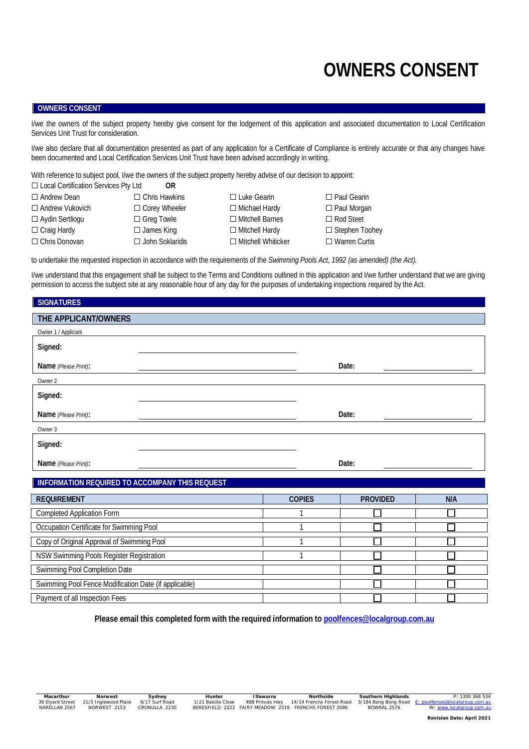# **OWNERS CONSENT**

#### **OWNERS CONSENT**

I/we the owners of the subject property hereby give consent for the lodgement of this application and associated documentation to Local Certification Services Unit Trust for consideration.

I/we also declare that all documentation presented as part of any application for a Certificate of Compliance is entirely accurate or that any changes have been documented and Local Certification Services Unit Trust have been advised accordingly in writing.

With reference to subject pool, I/we the owners of the subject property hereby advise of our decision to appoint:

☐ Local Certification Services Pty Ltd **OR**

- 
- 
- 
- 
- 
- 
- ☐ Andrew Dean ☐ Chris Hawkins ☐ Luke Gearin ☐ Paul Gearin ☐ Andrew Vukovich ☐ Corey Wheeler ☐ Michael Hardy ☐ Paul Morgan ☐ Aydin Sertliogu ☐ Greg Towle ☐ Mitchell Barnes ☐ Rod Steet
- ☐ Craig Hardy ☐ James King ☐ Mitchell Hardy ☐ Stephen Toohey ☐ Chris Donovan ☐ John Soklaridis ☐ Mitchell Whiticker ☐ Warren Curtis

to undertake the requested inspection in accordance with the requirements of the *Swimming Pools Act, 1992 (as amended) (the Act).*

I/we understand that this engagement shall be subject to the Terms and Conditions outlined in this application and I/we further understand that we are giving permission to access the subject site at any reasonable hour of any day for the purposes of undertaking inspections required by the Act.

### **SIGNATURES**

| THE APPLICANT/OWNERS |       |
|----------------------|-------|
| Owner 1 / Applicant  |       |
| Signed:              |       |
| Name (Please Print): | Date: |
| Owner 2              |       |
| Signed:              |       |
| Name (Please Print): | Date: |
| Owner 3              |       |
| Signed:              |       |
| Name (Please Print): | Date: |

## **INFORMATION REQUIRED TO ACCOMPANY THIS REQUEST**

| <b>REQUIREMENT</b>                                    | <b>COPIES</b> | <b>PROVIDED</b> | N/A |
|-------------------------------------------------------|---------------|-----------------|-----|
| <b>Completed Application Form</b>                     |               |                 |     |
| Occupation Certificate for Swimming Pool              |               |                 |     |
| Copy of Original Approval of Swimming Pool            |               |                 |     |
| NSW Swimming Pools Register Registration              |               |                 |     |
| Swimming Pool Completion Date                         |               |                 |     |
| Swimming Pool Fence Modification Date (if applicable) |               |                 |     |
| Payment of all Inspection Fees                        |               |                 |     |

**Please email this completed form with the required information to poolfences@localgroup.com.au**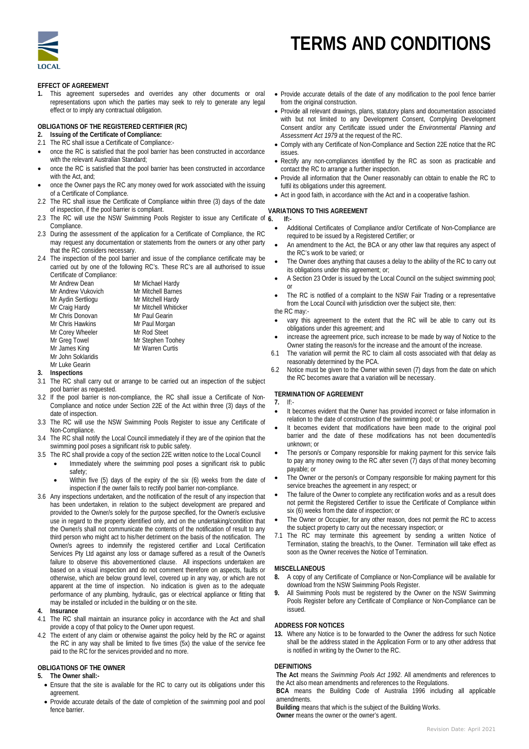

# **TERMS AND CONDITIONS**

**EFFECT OF AGREEMENT**

**1.** This agreement supersedes and overrides any other documents or oral representations upon which the parties may seek to rely to generate any legal effect or to imply any contractual obligation.

**OBLIGATIONS OF THE REGISTERED CERTIFIER (RC)**

- **2. Issuing of the Certificate of Compliance:**
- 2.1 The RC shall issue a Certificate of Compliance:-
- once the RC is satisfied that the pool barrier has been constructed in accordance with the relevant Australian Standard;
- once the RC is satisfied that the pool barrier has been constructed in accordance with the Act, and;
- once the Owner pays the RC any money owed for work associated with the issuing of a Certificate of Compliance.
- 2.2 The RC shall issue the Certificate of Compliance within three (3) days of the date of inspection, if the pool barrier is compliant.
- 2.3 The RC will use the NSW Swimming Pools Register to issue any Certificate of 6. Compliance.
- 2.3 During the assessment of the application for a Certificate of Compliance, the RC may request any documentation or statements from the owners or any other party that the RC considers necessary.
- 2.4 The inspection of the pool barrier and issue of the compliance certificate may be carried out by one of the following RC's. These RC's are all authorised to issue Certificate of Compliance:

| <b>CONTINUATO OF COMPORTION.</b> |                       |
|----------------------------------|-----------------------|
| Mr Andrew Dean                   | Mr Michael Hardy      |
| Mr Andrew Vukovich               | Mr Mitchell Barnes    |
| Mr Aydin Sertliogu               | Mr Mitchell Hardy     |
| Mr Craig Hardy                   | Mr Mitchell Whiticker |
| Mr Chris Donovan                 | Mr Paul Gearin        |
| Mr Chris Hawkins                 | Mr Paul Morgan        |
| Mr Corey Wheeler                 | Mr Rod Steet          |
| Mr Greg Towel                    | Mr Stephen Toohey     |
| Mr James King                    | Mr Warren Curtis      |
| Mr John Soklaridis               |                       |
| $MrLuk0$ Coarin                  |                       |

- Mr Luke Gearin **3. Inspections**
- 3.1 The RC shall carry out or arrange to be carried out an inspection of the subject pool barrier as requested.
- 3.2 If the pool barrier is non-compliance, the RC shall issue a Certificate of Non-Compliance and notice under Section 22E of the Act within three (3) days of the date of inspection.
- 3.3 The RC will use the NSW Swimming Pools Register to issue any Certificate of Non-Compliance.
- 3.4 The RC shall notify the Local Council immediately if they are of the opinion that the swimming pool poses a significant risk to public safety.
- 3.5 The RC shall provide a copy of the section 22E written notice to the Local Council Immediately where the swimming pool poses a significant risk to public
	- safety; Within five (5) days of the expiry of the six (6) weeks from the date of inspection if the owner fails to rectify pool barrier non-compliance.
- 3.6 Any inspections undertaken, and the notification of the result of any inspection that has been undertaken, in relation to the subject development are prepared and provided to the Owner/s solely for the purpose specified, for the Owner/s exclusive use in regard to the property identified only, and on the undertaking/condition that the Owner/s shall not communicate the contents of the notification of result to any third person who might act to his/her detriment on the basis of the notification. The Owner/s agrees to indemnify the registered certifier and Local Certification Services Pty Ltd against any loss or damage suffered as a result of the Owner/s failure to observe this abovementioned clause. All inspections undertaken are based on a visual inspection and do not comment therefore on aspects, faults or otherwise, which are below ground level, covered up in any way, or which are not apparent at the time of inspection. No indication is given as to the adequate performance of any plumbing, hydraulic, gas or electrical appliance or fitting that may be installed or included in the building or on the site.
- **4. Insurance**
- 4.1 The RC shall maintain an insurance policy in accordance with the Act and shall provide a copy of that policy to the Owner upon request.
- 4.2 The extent of any claim or otherwise against the policy held by the RC or against the RC in any way shall be limited to five times (5x) the value of the service fee paid to the RC for the services provided and no more.

### **OBLIGATIONS OF THE OWNER**

- **5. The Owner shall:-**
	- Ensure that the site is available for the RC to carry out its obligations under this agreement.
	- Provide accurate details of the date of completion of the swimming pool and pool fence barrier.
- Provide accurate details of the date of any modification to the pool fence barrier from the original construction.
- Provide all relevant drawings, plans, statutory plans and documentation associated with but not limited to any Development Consent, Complying Development Consent and/or any Certificate issued under the *Environmental Planning and Assessment Act 1979* at the request of the RC.
- Comply with any Certificate of Non-Compliance and Section 22E notice that the RC issues.
- Rectify any non-compliances identified by the RC as soon as practicable and contact the RC to arrange a further inspection.
- Provide all information that the Owner reasonably can obtain to enable the RC to fulfil its obligations under this agreement.
- Act in good faith, in accordance with the Act and in a cooperative fashion.

### **VARIATIONS TO THIS AGREEMENT**

**6. If:-**

- Additional Certificates of Compliance and/or Certificate of Non-Compliance are required to be issued by a Registered Certifier; or
- An amendment to the Act, the BCA or any other law that requires any aspect of the RC's work to be varied; or
- The Owner does anything that causes a delay to the ability of the RC to carry out its obligations under this agreement; or;
- A Section 23 Order is issued by the Local Council on the subject swimming pool; or
- The RC is notified of a complaint to the NSW Fair Trading or a representative from the Local Council with jurisdiction over the subject site, then:

the RC may:-

- vary this agreement to the extent that the RC will be able to carry out its obligations under this agreement; and
- increase the agreement price, such increase to be made by way of Notice to the Owner stating the reason/s for the increase and the amount of the increase.
- 6.1 The variation will permit the RC to claim all costs associated with that delay as reasonably determined by the PCA.
- 6.2 Notice must be given to the Owner within seven (7) days from the date on which the RC becomes aware that a variation will be necessary.

### **TERMINATION OF AGREEMENT**

- **7.** If:-
- It becomes evident that the Owner has provided incorrect or false information in relation to the date of construction of the swimming pool; or
- It becomes evident that modifications have been made to the original pool barrier and the date of these modifications has not been documented/is unknown; or
- The person/s or Company responsible for making payment for this service fails to pay any money owing to the RC after seven (7) days of that money becoming payable; or
- The Owner or the person/s or Company responsible for making payment for this service breaches the agreement in any respect; or
- The failure of the Owner to complete any rectification works and as a result does not permit the Registered Certifier to issue the Certificate of Compliance within six (6) weeks from the date of inspection; or
- The Owner or Occupier, for any other reason, does not permit the RC to access the subject property to carry out the necessary inspection; or
- 7.1 The RC may terminate this agreement by sending a written Notice of Termination, stating the breach/s, to the Owner. Termination will take effect as soon as the Owner receives the Notice of Termination.

#### **MISCELLANEOUS**

- **8.** A copy of any Certificate of Compliance or Non-Compliance will be available for download from the NSW Swimming Pools Register.
- **9.** All Swimming Pools must be registered by the Owner on the NSW Swimming Pools Register before any Certificate of Compliance or Non-Compliance can be issued.

#### **ADDRESS FOR NOTICES**

**13.** Where any Notice is to be forwarded to the Owner the address for such Notice shall be the address stated in the Application Form or to any other address that is notified in writing by the Owner to the RC.

#### **DEFINITIONS**

**The Act** means the *Swimming Pools Act 1992*. All amendments and references to the Act also mean amendments and references to the Regulations.

**BCA** means the Building Code of Australia 1996 including all applicable amendments.

**Building** means that which is the subject of the Building Works.

**Owner** means the owner or the owner's agent.